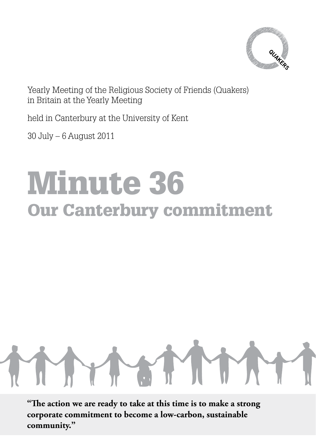

Yearly Meeting of the Religious Society of Friends (Quakers) in Britain at the Yearly Meeting

held in Canterbury at the University of Kent

30 July – 6 August 2011

## Minute 36 Our Canterbury commitment



**"The action we are ready to take at this time is to make a strong corporate commitment to become a low-carbon, sustainable community."**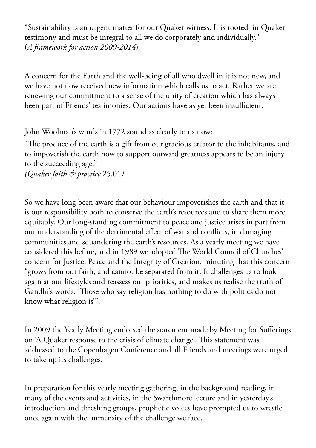"Sustainability is an urgent matter for our Quaker witness. It is rooted in Quaker testimony and must be integral to all we do corporately and individually." (*A framework for action 2009-2014*)

A concern for the Earth and the well-being of all who dwell in it is not new, and we have not now received new information which calls us to act. Rather we are renewing our commitment to a sense of the unity of creation which has always been part of Friends' testimonies. Our actions have as yet been insufficient.

John Woolman's words in 1772 sound as clearly to us now:

"The produce of the earth is a gift from our gracious creator to the inhabitants, and to impoverish the earth now to support outward greatness appears to be an injury to the succeeding age."

*(Quaker faith & practice* 25.01*)* 

So we have long been aware that our behaviour impoverishes the earth and that it is our responsibility both to conserve the earth's resources and to share them more equitably. Our long-standing commitment to peace and justice arises in part from our understanding of the detrimental effect of war and conflicts, in damaging communities and squandering the earth's resources. As a yearly meeting we have considered this before, and in 1989 we adopted The World Council of Churches' concern for Justice, Peace and the Integrity of Creation, minuting that this concern "grows from our faith, and cannot be separated from it. It challenges us to look again at our lifestyles and reassess our priorities, and makes us realise the truth of Gandhi's words: 'Those who say religion has nothing to do with politics do not know what religion is'".

In 2009 the Yearly Meeting endorsed the statement made by Meeting for Sufferings on 'A Quaker response to the crisis of climate change'. This statement was addressed to the Copenhagen Conference and all Friends and meetings were urged to take up its challenges.

In preparation for this yearly meeting gathering, in the background reading, in many of the events and activities, in the Swarthmore lecture and in yesterday's introduction and threshing groups, prophetic voices have prompted us to wrestle once again with the immensity of the challenge we face.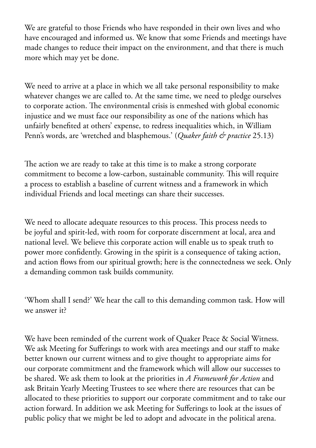We are grateful to those Friends who have responded in their own lives and who have encouraged and informed us. We know that some Friends and meetings have made changes to reduce their impact on the environment, and that there is much more which may yet be done.

We need to arrive at a place in which we all take personal responsibility to make whatever changes we are called to. At the same time, we need to pledge ourselves to corporate action. The environmental crisis is enmeshed with global economic injustice and we must face our responsibility as one of the nations which has unfairly benefited at others' expense, to redress inequalities which, in William Penn's words, are 'wretched and blasphemous.' (*Quaker faith & practice* 25.13)

The action we are ready to take at this time is to make a strong corporate commitment to become a low-carbon, sustainable community. This will require a process to establish a baseline of current witness and a framework in which individual Friends and local meetings can share their successes.

We need to allocate adequate resources to this process. This process needs to be joyful and spirit-led, with room for corporate discernment at local, area and national level. We believe this corporate action will enable us to speak truth to power more confidently. Growing in the spirit is a consequence of taking action, and action flows from our spiritual growth; here is the connectedness we seek. Only a demanding common task builds community.

'Whom shall I send?' We hear the call to this demanding common task. How will we answer it?

We have been reminded of the current work of Quaker Peace & Social Witness. We ask Meeting for Sufferings to work with area meetings and our staff to make better known our current witness and to give thought to appropriate aims for our corporate commitment and the framework which will allow our successes to be shared. We ask them to look at the priorities in *A Framework for Action* and ask Britain Yearly Meeting Trustees to see where there are resources that can be allocated to these priorities to support our corporate commitment and to take our action forward. In addition we ask Meeting for Sufferings to look at the issues of public policy that we might be led to adopt and advocate in the political arena.